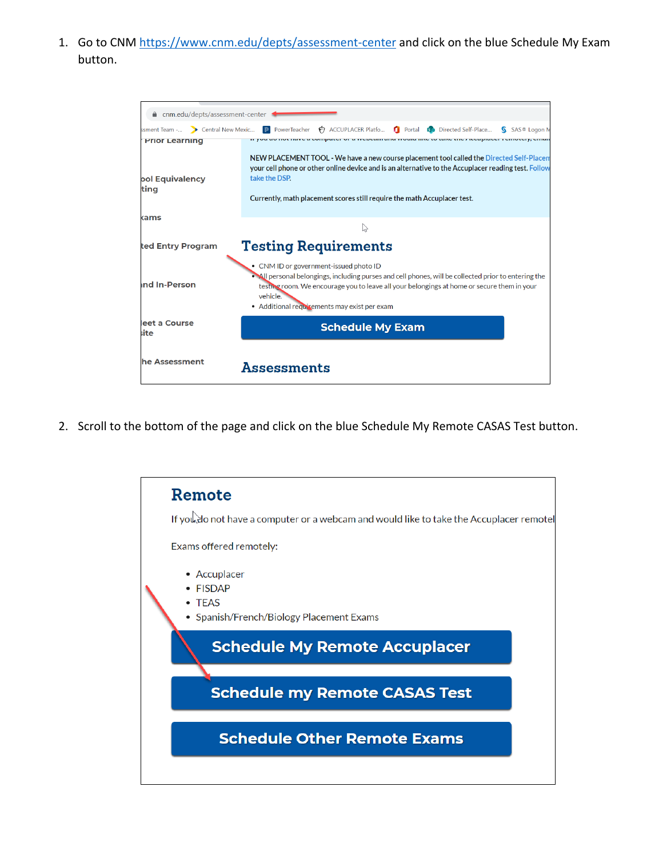1. Go to CNM<https://www.cnm.edu/depts/assessment-center> and click on the blue Schedule My Exam button.

| ■ cnm.edu/depts/assessment-center |                                                                                                                                                                                                                                                                                                          |
|-----------------------------------|----------------------------------------------------------------------------------------------------------------------------------------------------------------------------------------------------------------------------------------------------------------------------------------------------------|
| ssment Team - > Central New Mexic | ACCUPLACER Platfo <b>C</b> Portal <b>B</b> Directed Self-Place<br><b>P</b> PowerTeacher<br>SAS® Logon M                                                                                                                                                                                                  |
| <b>Prior Learning</b>             | or a modelni ana modia me to take thou technicor remotery, eman                                                                                                                                                                                                                                          |
| <b>pol Equivalency</b><br>ting    | NEW PLACEMENT TOOL - We have a new course placement tool called the Directed Self-Placem<br>your cell phone or other online device and is an alternative to the Accuplacer reading test. Follow<br>take the DSP.<br>Currently, math placement scores still require the math Accuplacer test.             |
| kams                              |                                                                                                                                                                                                                                                                                                          |
|                                   |                                                                                                                                                                                                                                                                                                          |
| ted Entry Program                 | <b>Testing Requirements</b>                                                                                                                                                                                                                                                                              |
| <b>Ind In-Person</b>              | • CNM ID or government-issued photo ID<br>• All personal belongings, including purses and cell phones, will be collected prior to entering the<br>testing room. We encourage you to leave all your belongings at home or secure them in your<br>vehicle.<br>• Additional requirements may exist per exam |
| leet a Course<br>iite             | <b>Schedule My Exam</b>                                                                                                                                                                                                                                                                                  |
| he Assessment                     | Assessments                                                                                                                                                                                                                                                                                              |

2. Scroll to the bottom of the page and click on the blue Schedule My Remote CASAS Test button.

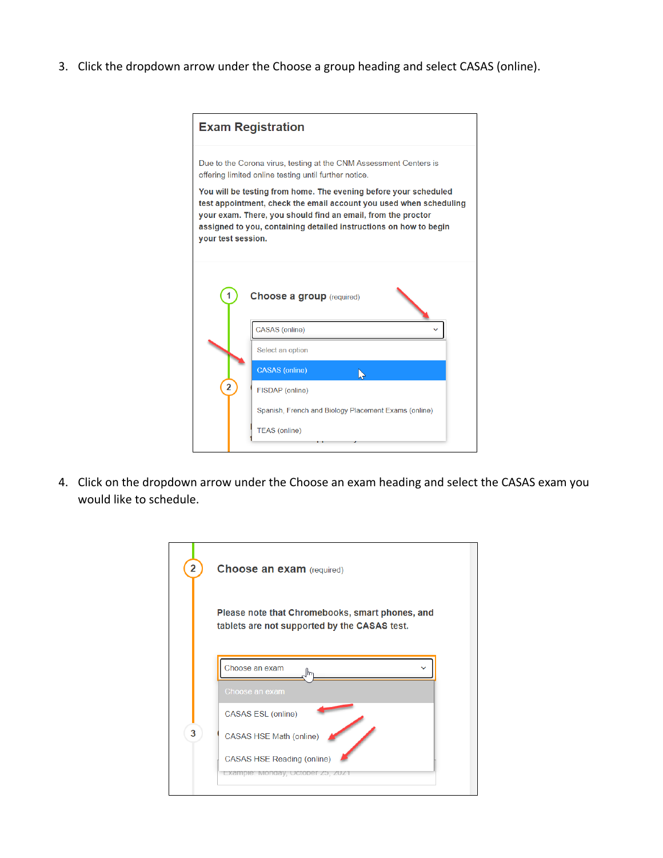3. Click the dropdown arrow under the Choose a group heading and select CASAS (online).

|                    | <b>Exam Registration</b>                                                                                                                                                                                                                                                    |
|--------------------|-----------------------------------------------------------------------------------------------------------------------------------------------------------------------------------------------------------------------------------------------------------------------------|
|                    | Due to the Corona virus, testing at the CNM Assessment Centers is<br>offering limited online testing until further notice.                                                                                                                                                  |
| your test session. | You will be testing from home. The evening before your scheduled<br>test appointment, check the email account you used when scheduling<br>your exam. There, you should find an email, from the proctor<br>assigned to you, containing detailed instructions on how to begin |
| 1                  | <b>Choose a group</b> (required)                                                                                                                                                                                                                                            |
|                    | <b>CASAS</b> (online)                                                                                                                                                                                                                                                       |
|                    | Select an option                                                                                                                                                                                                                                                            |
|                    | <b>CASAS</b> (online)                                                                                                                                                                                                                                                       |
| $\overline{2}$     | FISDAP (online)                                                                                                                                                                                                                                                             |
|                    | Spanish, French and Biology Placement Exams (online)                                                                                                                                                                                                                        |
|                    | <b>TEAS (online)</b>                                                                                                                                                                                                                                                        |

4. Click on the dropdown arrow under the Choose an exam heading and select the CASAS exam you would like to schedule.

| $\overline{\mathbf{2}}$ | <b>Choose an exam (required)</b>                                                                                                                                   |
|-------------------------|--------------------------------------------------------------------------------------------------------------------------------------------------------------------|
|                         | Please note that Chromebooks, smart phones, and<br>tablets are not supported by the CASAS test.                                                                    |
| 3                       | Choose an exam<br>Choose an exam<br><b>CASAS ESL (online)</b><br>CASAS HSE Math (online)<br><b>CASAS HSE Reading (online)</b><br>Example: Monday, October 25, 2021 |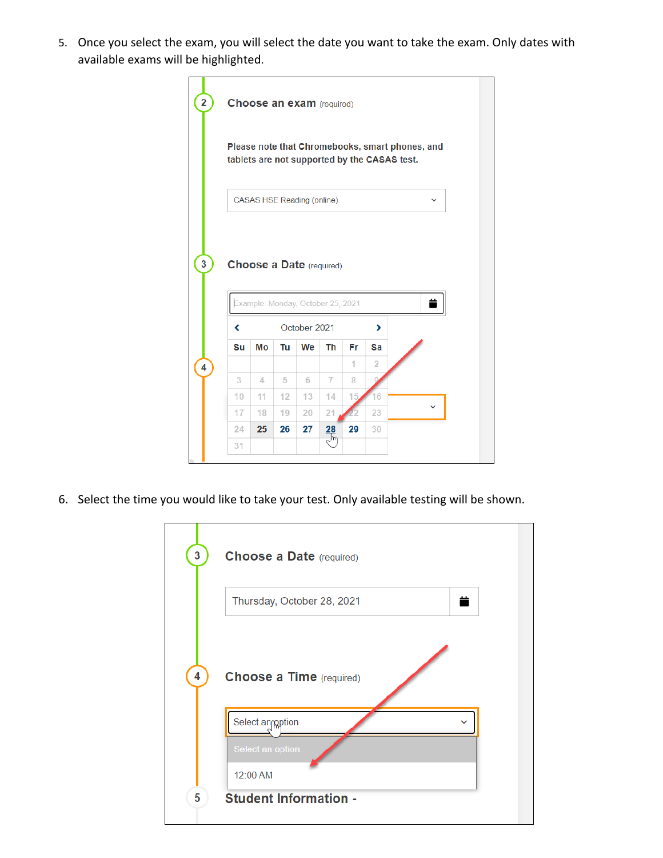5. Once you select the exam, you will select the date you want to take the exam. Only dates with available exams will be highlighted.



6. Select the time you would like to take your test. Only available testing will be shown.

| 3 | <b>Choose a Date (required)</b>                  |
|---|--------------------------------------------------|
|   | ≐<br>Thursday, October 28, 2021                  |
| 4 | <b>Choose a Time</b> (required)                  |
|   | Select angeption<br>Select an option<br>12:00 AM |
| 5 | <b>Student Information -</b>                     |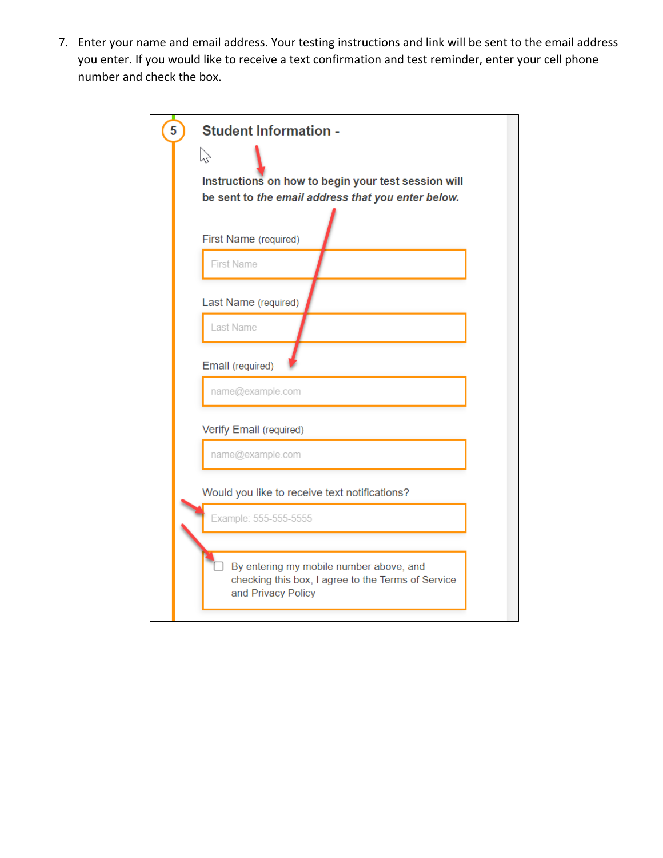7. Enter your name and email address. Your testing instructions and link will be sent to the email address you enter. If you would like to receive a text confirmation and test reminder, enter your cell phone number and check the box.

| <b>Student Information -</b>                                                                                        |
|---------------------------------------------------------------------------------------------------------------------|
| ベ                                                                                                                   |
| Instructions on how to begin your test session will                                                                 |
| be sent to the email address that you enter below.<br>First Name (required)                                         |
| <b>First Name</b>                                                                                                   |
| Last Name (required)                                                                                                |
| Last Name                                                                                                           |
| Email (required)                                                                                                    |
| name@example.com                                                                                                    |
| Verify Email (required)                                                                                             |
| name@example.com                                                                                                    |
| Would you like to receive text notifications?                                                                       |
| Example: 555-555-5555                                                                                               |
| By entering my mobile number above, and<br>checking this box, I agree to the Terms of Service<br>and Privacy Policy |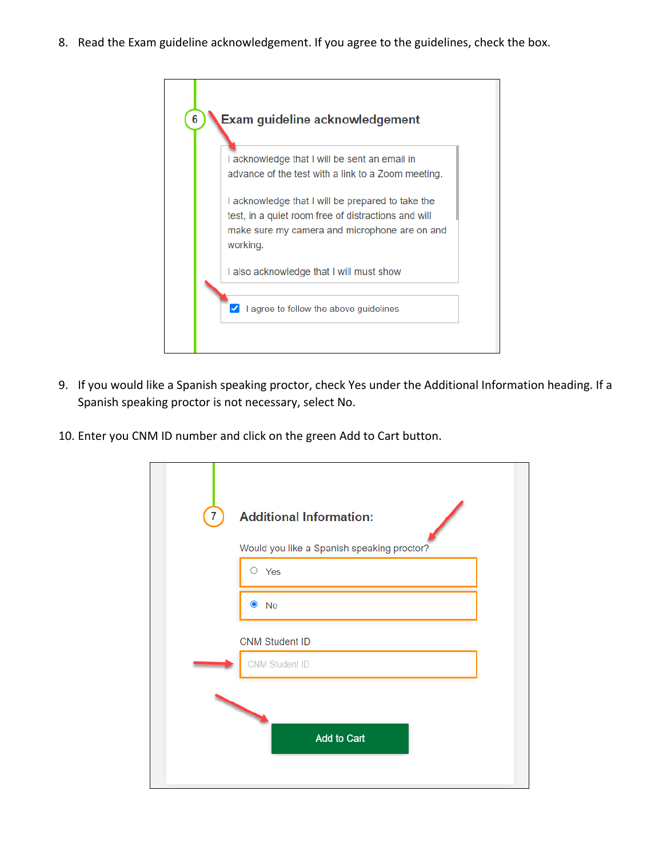8. Read the Exam guideline acknowledgement. If you agree to the guidelines, check the box.



- 9. If you would like a Spanish speaking proctor, check Yes under the Additional Information heading. If a Spanish speaking proctor is not necessary, select No.
- 10. Enter you CNM ID number and click on the green Add to Cart button.

| <b>Additional Information:</b><br>7        |  |
|--------------------------------------------|--|
| Would you like a Spanish speaking proctor? |  |
| O<br>Yes                                   |  |
| $\bullet$ No                               |  |
| <b>CNM Student ID</b>                      |  |
| CNM Student ID                             |  |
| Add to Cart                                |  |